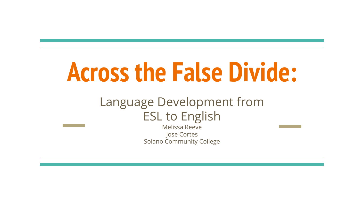# **Across the False Divide:**

#### Language Development from ESL to English

Melissa Reeve Jose Cortes Solano Community College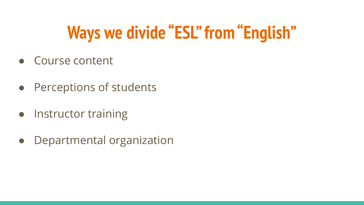# **Ways we divide "ESL" from "English"**

- Course content
- Perceptions of students
- Instructor training
- Departmental organization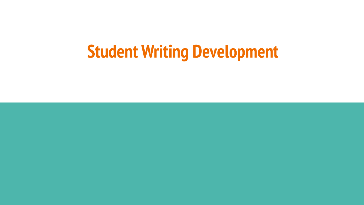# **Student Writing Development**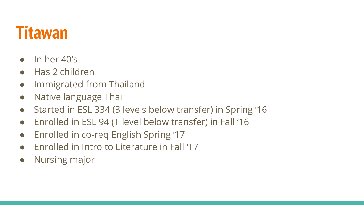### **Titawan**

- $\bullet$  In her  $40\%$
- Has 2 children
- Immigrated from Thailand
- Native language Thai
- Started in ESL 334 (3 levels below transfer) in Spring '16
- Enrolled in ESL 94 (1 level below transfer) in Fall '16
- Enrolled in co-req English Spring '17
- Enrolled in Intro to Literature in Fall '17
- Nursing major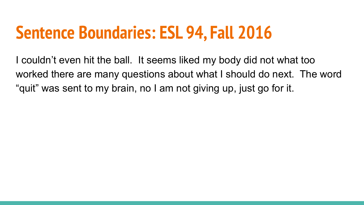## **Sentence Boundaries: ESL 94, Fall 2016**

I couldn't even hit the ball. It seems liked my body did not what too worked there are many questions about what I should do next. The word "quit" was sent to my brain, no I am not giving up, just go for it.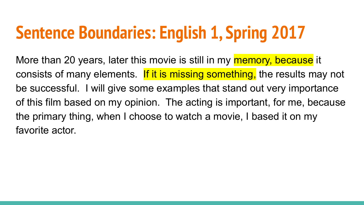# **Sentence Boundaries: English 1, Spring 2017**

More than 20 years, later this movie is still in my memory, because it consists of many elements. If it is missing something, the results may not be successful. I will give some examples that stand out very importance of this film based on my opinion. The acting is important, for me, because the primary thing, when I choose to watch a movie, I based it on my favorite actor.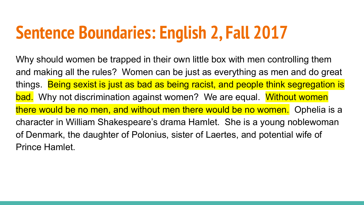# **Sentence Boundaries: English 2, Fall 2017**

Why should women be trapped in their own little box with men controlling them and making all the rules? Women can be just as everything as men and do great things. Being sexist is just as bad as being racist, and people think segregation is bad. Why not discrimination against women? We are equal. Without women there would be no men, and without men there would be no women. Ophelia is a character in William Shakespeare's drama Hamlet. She is a young noblewoman of Denmark, the daughter of Polonius, sister of Laertes, and potential wife of Prince Hamlet.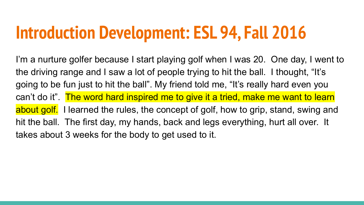## **Introduction Development: ESL 94, Fall 2016**

I'm a nurture golfer because I start playing golf when I was 20. One day, I went to the driving range and I saw a lot of people trying to hit the ball. I thought, "It's going to be fun just to hit the ball". My friend told me, "It's really hard even you can't do it". The word hard inspired me to give it a tried, make me want to learn about golf. I learned the rules, the concept of golf, how to grip, stand, swing and hit the ball. The first day, my hands, back and legs everything, hurt all over. It takes about 3 weeks for the body to get used to it.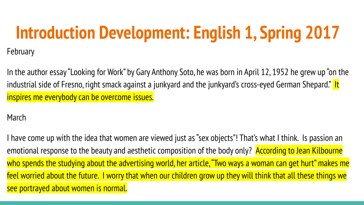# **Introduction Development: English 1, Spring 2017**

February

In the author essay "Looking for Work" by Gary Anthony Soto, he was born in April 12, 1952 he grew up "on the industrial side of Fresno, right smack against a junkyard and the junkyard's cross-eyed German Shepard." It inspires me everybody can be overcome issues.

March

I have come up with the idea that women are viewed just as "sex objects"! That's what I think. Is passion an emotional response to the beauty and aesthetic composition of the body only? According to Jean Kilbourne who spends the studying about the advertising world, her article, "Two ways a woman can get hurt" makes me feel worried about the future. I worry that when our children grow up they will think that all these things we see portrayed about women is normal.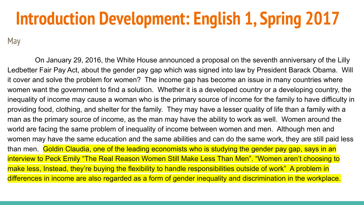# **Introduction Development: English 1, Spring 2017**

May

 On January 29, 2016, the White House announced a proposal on the seventh anniversary of the Lilly Ledbetter Fair Pay Act, about the gender pay gap which was signed into law by President Barack Obama. Will it cover and solve the problem for women? The income gap has become an issue in many countries where women want the government to find a solution. Whether it is a developed country or a developing country, the inequality of income may cause a woman who is the primary source of income for the family to have difficulty in providing food, clothing, and shelter for the family. They may have a lesser quality of life than a family with a man as the primary source of income, as the man may have the ability to work as well. Women around the world are facing the same problem of inequality of income between women and men. Although men and women may have the same education and the same abilities and can do the same work, they are still paid less than men. Goldin Claudia, one of the leading economists who is studying the gender pay gap, says in an interview to Peck Emily "The Real Reason Women Still Make Less Than Men". "Women aren't choosing to make less, Instead, they're buying the flexibility to handle responsibilities outside of work" A problem in differences in income are also regarded as a form of gender inequality and discrimination in the workplace.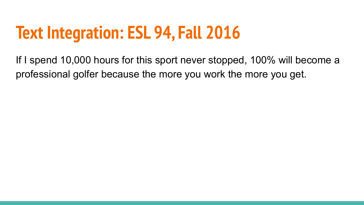# **Text Integration: ESL 94, Fall 2016**

If I spend 10,000 hours for this sport never stopped, 100% will become a professional golfer because the more you work the more you get.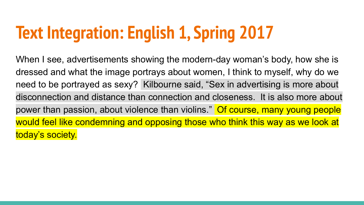# **Text Integration: English 1, Spring 2017**

When I see, advertisements showing the modern-day woman's body, how she is dressed and what the image portrays about women, I think to myself, why do we need to be portrayed as sexy? Kilbourne said, "Sex in advertising is more about disconnection and distance than connection and closeness. It is also more about power than passion, about violence than violins." Of course, many young people would feel like condemning and opposing those who think this way as we look at today's society.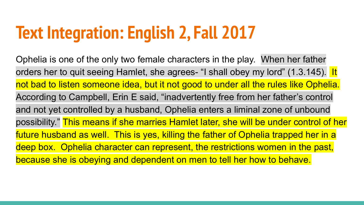# **Text Integration: English 2, Fall 2017**

Ophelia is one of the only two female characters in the play. When her father orders her to quit seeing Hamlet, she agrees- "I shall obey my lord" (1.3.145). It not bad to listen someone idea, but it not good to under all the rules like Ophelia. According to Campbell, Erin E said, "inadvertently free from her father's control and not yet controlled by a husband, Ophelia enters a liminal zone of unbound possibility." This means if she marries Hamlet later, she will be under control of her future husband as well. This is yes, killing the father of Ophelia trapped her in a deep box. Ophelia character can represent, the restrictions women in the past, because she is obeying and dependent on men to tell her how to behave.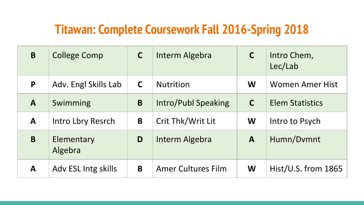#### **Titawan: Complete Coursework Fall 2016-Spring 2018**

| B            | <b>College Comp</b>   | $\mathsf{C}$ | Interm Algebra            | $\mathsf{C}$ | Intro Chem,<br>Lec/Lab |
|--------------|-----------------------|--------------|---------------------------|--------------|------------------------|
| P            | Adv. Engl Skills Lab  | $\mathsf{C}$ | <b>Nutrition</b>          | W            | <b>Women Amer Hist</b> |
| $\mathbf{A}$ | Swimming              | B            | Intro/Publ Speaking       | $\mathsf{C}$ | <b>Elem Statistics</b> |
| A            | Intro Lbry Resrch     | B            | Crit Thk/Writ Lit         | W            | Intro to Psych         |
| B            | Elementary<br>Algebra | D            | Interm Algebra            | $\mathbf{A}$ | Humn/Dvmnt             |
| A            | Adv ESL Intg skills   | B            | <b>Amer Cultures Film</b> | W            | $Hist/U.S.$ from 1865  |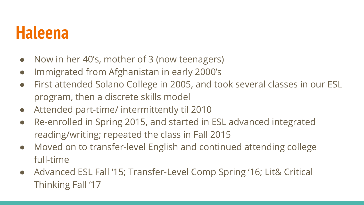### **Haleena**

- Now in her 40's, mother of 3 (now teenagers)
- Immigrated from Afghanistan in early 2000's
- First attended Solano College in 2005, and took several classes in our ESL program, then a discrete skills model
- Attended part-time/ intermittently til 2010
- Re-enrolled in Spring 2015, and started in ESL advanced integrated reading/writing; repeated the class in Fall 2015
- Moved on to transfer-level English and continued attending college full-time
- Advanced ESL Fall '15; Transfer-Level Comp Spring '16; Lit& Critical Thinking Fall '17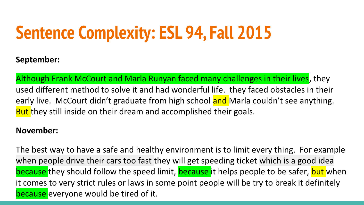# **Sentence Complexity: ESL 94, Fall 2015**

#### **September:**

Although Frank McCourt and Marla Runyan faced many challenges in their lives, they used different method to solve it and had wonderful life. they faced obstacles in their early live. McCourt didn't graduate from high school and Marla couldn't see anything. But they still inside on their dream and accomplished their goals.

#### **November:**

The best way to have a safe and healthy environment is to limit every thing. For example when people drive their cars too fast they will get speeding ticket which is a good idea because they should follow the speed limit, **because** it helps people to be safer, **but** when it comes to very strict rules or laws in some point people will be try to break it definitely because everyone would be tired of it.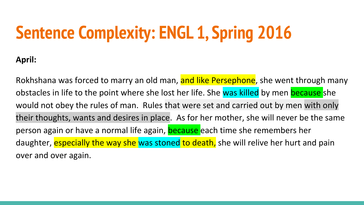# **Sentence Complexity: ENGL 1, Spring 2016**

**April:**

Rokhshana was forced to marry an old man, and like Persephone, she went through many obstacles in life to the point where she lost her life. She was killed by men because she would not obey the rules of man. Rules that were set and carried out by men with only their thoughts, wants and desires in place. As for her mother, she will never be the same person again or have a normal life again, because each time she remembers her daughter, especially the way she was stoned to death, she will relive her hurt and pain over and over again.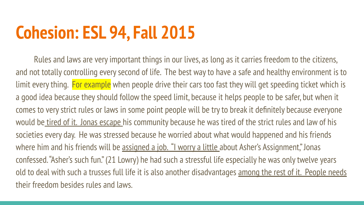# **Cohesion: ESL 94, Fall 2015**

Rules and laws are very important things in our lives, as long as it carries freedom to the citizens, and not totally controlling every second of life. The best way to have a safe and healthy environment is to limit every thing. For example when people drive their cars too fast they will get speeding ticket which is a good idea because they should follow the speed limit, because it helps people to be safer, but when it comes to very strict rules or laws in some point people will be try to break it definitely because everyone would be tired of it. Jonas escape his community because he was tired of the strict rules and law of his societies every day. He was stressed because he worried about what would happened and his friends where him and his friends will be assigned a job. "I worry a little about Asher's Assignment," Jonas confessed. "Asher's such fun." (21 Lowry) he had such a stressful life especially he was only twelve years old to deal with such a trusses full life it is also another disadvantages among the rest of it. People needs their freedom besides rules and laws.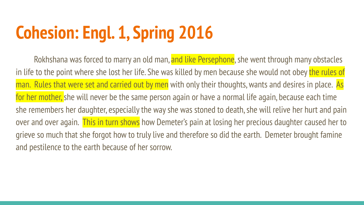# **Cohesion: Engl. 1, Spring 2016**

Rokhshana was forced to marry an old man, and like Persephone, she went through many obstacles in life to the point where she lost her life. She was killed by men because she would not obey the rules of man. Rules that were set and carried out by men with only their thoughts, wants and desires in place. As for her mother, she will never be the same person again or have a normal life again, because each time she remembers her daughter, especially the way she was stoned to death, she will relive her hurt and pain over and over again. This in turn shows how Demeter's pain at losing her precious daughter caused her to grieve so much that she forgot how to truly live and therefore so did the earth. Demeter brought famine and pestilence to the earth because of her sorrow.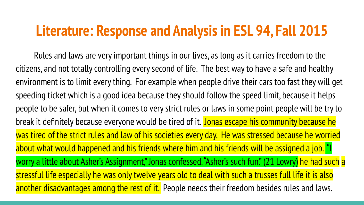#### **Literature: Response and Analysis in ESL 94, Fall 2015**

Rules and laws are very important things in our lives, as long as it carries freedom to the citizens, and not totally controlling every second of life. The best way to have a safe and healthy environment is to limit every thing. For example when people drive their cars too fast they will get speeding ticket which is a good idea because they should follow the speed limit, because it helps people to be safer, but when it comes to very strict rules or laws in some point people will be try to break it definitely because everyone would be tired of it. Jonas escape his community because he was tired of the strict rules and law of his societies every day. He was stressed because he worried about what would happened and his friends where him and his friends will be assigned a job. "I worry a little about Asher's Assignment," Jonas confessed. "Asher's such fun." (21 Lowry) he had such a stressful life especially he was only twelve years old to deal with such a trusses full life it is also another disadvantages among the rest of it. People needs their freedom besides rules and laws.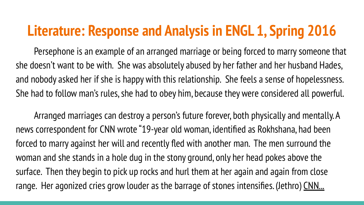### **Literature: Response and Analysis in ENGL 1, Spring 2016**

Persephone is an example of an arranged marriage or being forced to marry someone that she doesn't want to be with. She was absolutely abused by her father and her husband Hades, and nobody asked her if she is happy with this relationship. She feels a sense of hopelessness. She had to follow man's rules, she had to obey him, because they were considered all powerful.

Arranged marriages can destroy a person's future forever, both physically and mentally. A news correspondent for CNN wrote "19-year old woman, identified as Rokhshana, had been forced to marry against her will and recently fled with another man. The men surround the woman and she stands in a hole dug in the stony ground, only her head pokes above the surface. Then they begin to pick up rocks and hurl them at her again and again from close range. Her agonized cries grow louder as the barrage of stones intensifies. (Jethro) CNN...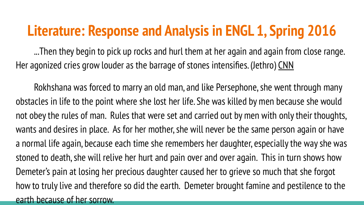### **Literature: Response and Analysis in ENGL 1, Spring 2016**

...Then they begin to pick up rocks and hurl them at her again and again from close range. Her agonized cries grow louder as the barrage of stones intensifies. (Jethro) CNN

Rokhshana was forced to marry an old man, and like Persephone, she went through many obstacles in life to the point where she lost her life. She was killed by men because she would not obey the rules of man. Rules that were set and carried out by men with only their thoughts, wants and desires in place. As for her mother, she will never be the same person again or have a normal life again, because each time she remembers her daughter, especially the way she was stoned to death, she will relive her hurt and pain over and over again. This in turn shows how Demeter's pain at losing her precious daughter caused her to grieve so much that she forgot how to truly live and therefore so did the earth. Demeter brought famine and pestilence to the earth because of her sorrow.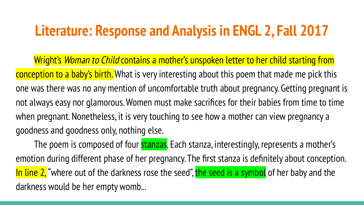### **Literature: Response and Analysis in ENGL 2, Fall 2017**

Wright's Woman to Child contains a mother's unspoken letter to her child starting from conception to a baby's birth. What is very interesting about this poem that made me pick this one was there was no any mention of uncomfortable truth about pregnancy. Getting pregnant is not always easy nor glamorous. Women must make sacrifices for their babies from time to time when pregnant. Nonetheless, it is very touching to see how a mother can view pregnancy a goodness and goodness only, nothing else.

The poem is composed of four **stanzas**. Each stanza, interestingly, represents a mother's emotion during different phase of her pregnancy. The first stanza is definitely about conception. In line 2, "where out of the darkness rose the seed", the seed is a symbol of her baby and the darkness would be her empty womb...

l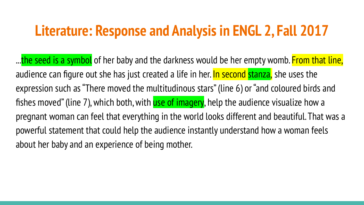### **Literature: Response and Analysis in ENGL 2, Fall 2017**

...the seed is a symbol of her baby and the darkness would be her empty womb. From that line, audience can figure out she has just created a life in her. In second stanza, she uses the expression such as "There moved the multitudinous stars" (line 6) or "and coloured birds and fishes moved" (line 7), which both, with use of imagery, help the audience visualize how a pregnant woman can feel that everything in the world looks different and beautiful. That was a powerful statement that could help the audience instantly understand how a woman feels about her baby and an experience of being mother.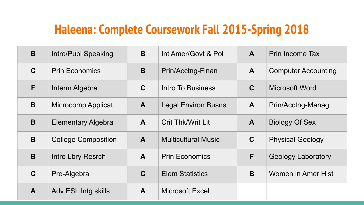#### **Haleena: Complete Coursework Fall 2015-Spring 2018**

| B            | Intro/Publ Speaking        | B            | Int Amer/Govt & Pol.       | $\mathbf{A}$ | Prin Income Tax            |
|--------------|----------------------------|--------------|----------------------------|--------------|----------------------------|
| $\mathbf C$  | <b>Prin Economics</b>      | B            | Prin/Acctng-Finan          | $\mathbf{A}$ | <b>Computer Accounting</b> |
| F            | Interm Algebra             | $\mathbf C$  | Intro To Business          | $\mathbf C$  | <b>Microsoft Word</b>      |
| B            | <b>Microcomp Applicat</b>  | $\mathbf{A}$ | <b>Legal Environ Busns</b> | $\mathbf{A}$ | Prin/Acctng-Manag          |
| B            | <b>Elementary Algebra</b>  | A            | <b>Crit Thk/Writ Lit</b>   | $\mathbf{A}$ | <b>Biology Of Sex</b>      |
| B            | <b>College Composition</b> | $\mathsf{A}$ | <b>Multicultural Music</b> | $\mathbf C$  | <b>Physical Geology</b>    |
| B            | Intro Lbry Resrch          | A            | <b>Prin Economics</b>      | F            | <b>Geology Laboratory</b>  |
| $\mathbf C$  | Pre-Algebra                | $\mathbf C$  | <b>Elem Statistics</b>     | B            | Women in Amer Hist         |
| $\mathbf{A}$ | Adv ESL Intg skills        | A            | <b>Microsoft Excel</b>     |              |                            |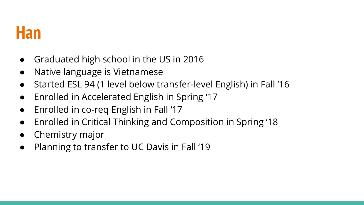### **Han**

- Graduated high school in the US in 2016
- Native language is Vietnamese
- Started ESL 94 (1 level below transfer-level English) in Fall '16
- Enrolled in Accelerated English in Spring '17
- Enrolled in co-req English in Fall '17
- Enrolled in Critical Thinking and Composition in Spring '18
- Chemistry major
- Planning to transfer to UC Davis in Fall '19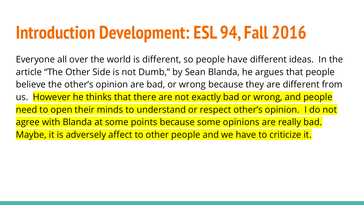## **Introduction Development: ESL 94, Fall 2016**

Everyone all over the world is different, so people have different ideas. In the article "The Other Side is not Dumb," by Sean Blanda, he argues that people believe the other's opinion are bad, or wrong because they are different from us. However he thinks that there are not exactly bad or wrong, and people need to open their minds to understand or respect other's opinion. I do not agree with Blanda at some points because some opinions are really bad. Maybe, it is adversely affect to other people and we have to criticize it.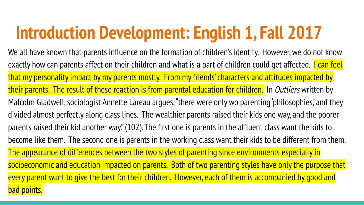# **Introduction Development: English 1, Fall 2017**

We all have known that parents influence on the formation of children's identity. However, we do not know exactly how can parents affect on their children and what is a part of children could get affected. **I can feel** that my personality impact by my parents mostly. From my friends' characters and attitudes impacted by their parents. The result of these reaction is from parental education for children. In Outliers written by Malcolm Gladwell, sociologist Annette Lareau argues, "there were only wo parenting 'philosophies,' and they divided almost perfectly along class lines. The wealthier parents raised their kids one way, and the poorer parents raised their kid another way." (102). The first one is parents in the affluent class want the kids to become like them. The second one is parents in the working class want their kids to be different from them. The appearance of differences between the two styles of parenting since environments especially in socioeconomic and education impacted on parents. Both of two parenting styles have only the purpose that every parent want to give the best for their children. However, each of them is accompanied by good and bad points.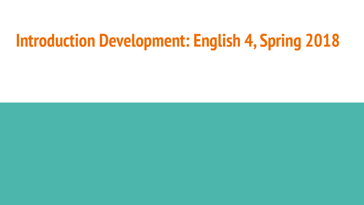## **Introduction Development: English 4, Spring 2018**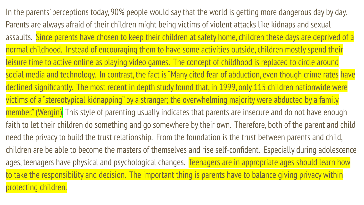In the parents' perceptions today, 90% people would say that the world is getting more dangerous day by day. Parents are always afraid of their children might being victims of violent attacks like kidnaps and sexual assaults. Since parents have chosen to keep their children at safety home, children these days are deprived of a normal childhood. Instead of encouraging them to have some activities outside, children mostly spend their leisure time to active online as playing video games. The concept of childhood is replaced to circle around social media and technology. In contrast, the fact is "Many cited fear of abduction, even though crime rates have declined significantly. The most recent in depth study found that, in 1999, only 115 children nationwide were victims of a "stereotypical kidnapping" by a stranger; the overwhelming majority were abducted by a family member." (Wergin). This style of parenting usually indicates that parents are insecure and do not have enough faith to let their children do something and go somewhere by their own. Therefore, both of the parent and child need the privacy to build the trust relationship. From the foundation is the trust between parents and child, children are be able to become the masters of themselves and rise self-confident. Especially during adolescence ages, teenagers have physical and psychological changes. Teenagers are in appropriate ages should learn how to take the responsibility and decision. The important thing is parents have to balance giving privacy within protecting children.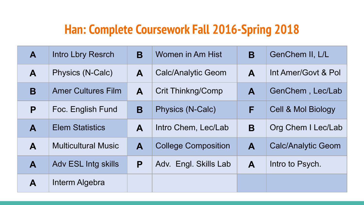#### **Han: Complete Coursework Fall 2016-Spring 2018**

| A | Intro Lbry Resrch          | B | Women in Am Hist           | B | GenChem II, L/L               |
|---|----------------------------|---|----------------------------|---|-------------------------------|
| A | Physics (N-Calc)           | A | <b>Calc/Analytic Geom</b>  | A | Int Amer/Govt & Pol           |
| B | <b>Amer Cultures Film</b>  | A | <b>Crit Thinkng/Comp</b>   | A | GenChem, Lec/Lab              |
| P | Foc. English Fund          | B | Physics (N-Calc)           | F | <b>Cell &amp; Mol Biology</b> |
| A | <b>Elem Statistics</b>     | A | Intro Chem, Lec/Lab        | B | Org Chem I Lec/Lab            |
| A | <b>Multicultural Music</b> | A | <b>College Composition</b> | A | <b>Calc/Analytic Geom</b>     |
| A | <b>Adv ESL Intg skills</b> | P | Adv. Engl. Skills Lab      | A | Intro to Psych.               |
| A | Interm Algebra             |   |                            |   |                               |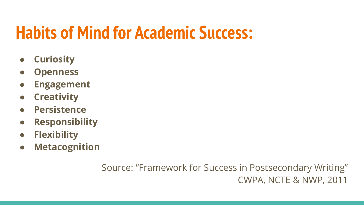# **Habits of Mind for Academic Success:**

- **● Curiosity**
- **● Openness**
- **● Engagement**
- **● Creativity**
- **● Persistence**
- **● Responsibility**
- **● Flexibility**
- **● Metacognition**

Source: "Framework for Success in Postsecondary Writing" CWPA, NCTE & NWP, 2011